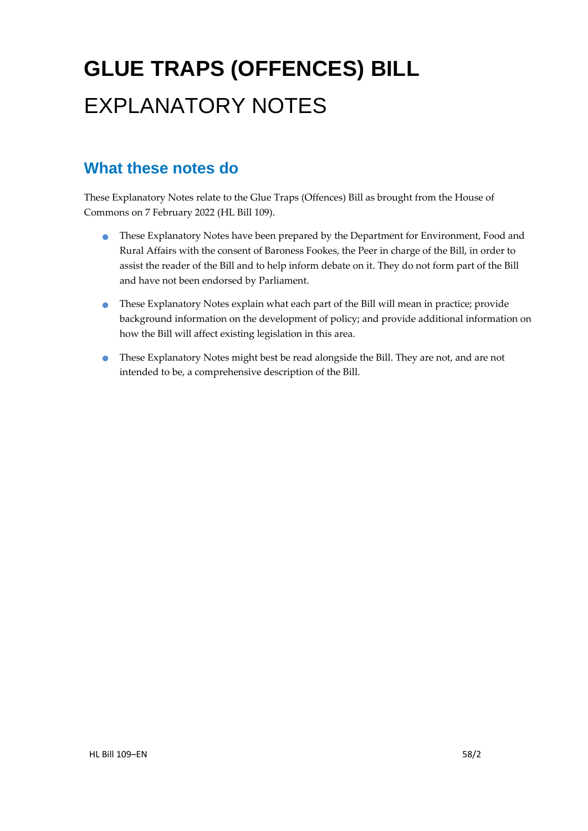# **GLUE TRAPS (OFFENCES) BILL** EXPLANATORY NOTES

### **What these notes do**

- These Explanatory Notes have been prepared by the Department for Environment, Food and Rural Affairs with the consent of Baroness Fookes, the Peer in charge of the Bill, in order to assist the reader of the Bill and to help inform debate on it. They do not form part of the Bill and have not been endorsed by Parliament.
- These Explanatory Notes explain what each part of the Bill will mean in practice; provide background information on the development of policy; and provide additional information on how the Bill will affect existing legislation in this area.
- These Explanatory Notes might best be read alongside the Bill. They are not, and are not intended to be, a comprehensive description of the Bill.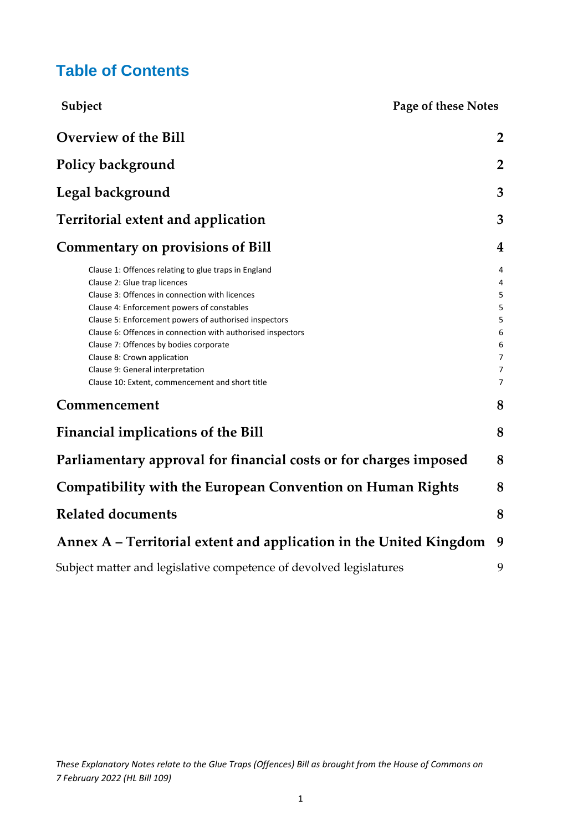### **Table of Contents**

| Subject                                                                                                                                                                                                                                                                                                                                                                                                                                                                      | Page of these Notes                                                      |
|------------------------------------------------------------------------------------------------------------------------------------------------------------------------------------------------------------------------------------------------------------------------------------------------------------------------------------------------------------------------------------------------------------------------------------------------------------------------------|--------------------------------------------------------------------------|
| <b>Overview of the Bill</b>                                                                                                                                                                                                                                                                                                                                                                                                                                                  | $\overline{2}$                                                           |
| Policy background                                                                                                                                                                                                                                                                                                                                                                                                                                                            | $\overline{2}$                                                           |
| Legal background                                                                                                                                                                                                                                                                                                                                                                                                                                                             | 3                                                                        |
| <b>Territorial extent and application</b>                                                                                                                                                                                                                                                                                                                                                                                                                                    | 3                                                                        |
| <b>Commentary on provisions of Bill</b>                                                                                                                                                                                                                                                                                                                                                                                                                                      | 4                                                                        |
| Clause 1: Offences relating to glue traps in England<br>Clause 2: Glue trap licences<br>Clause 3: Offences in connection with licences<br>Clause 4: Enforcement powers of constables<br>Clause 5: Enforcement powers of authorised inspectors<br>Clause 6: Offences in connection with authorised inspectors<br>Clause 7: Offences by bodies corporate<br>Clause 8: Crown application<br>Clause 9: General interpretation<br>Clause 10: Extent, commencement and short title | 4<br>4<br>5<br>5<br>5<br>6<br>6<br>$\overline{7}$<br>7<br>$\overline{7}$ |
| Commencement                                                                                                                                                                                                                                                                                                                                                                                                                                                                 | 8                                                                        |
| <b>Financial implications of the Bill</b>                                                                                                                                                                                                                                                                                                                                                                                                                                    | 8                                                                        |
| Parliamentary approval for financial costs or for charges imposed                                                                                                                                                                                                                                                                                                                                                                                                            | 8                                                                        |
| <b>Compatibility with the European Convention on Human Rights</b>                                                                                                                                                                                                                                                                                                                                                                                                            | 8                                                                        |
| <b>Related documents</b>                                                                                                                                                                                                                                                                                                                                                                                                                                                     | 8                                                                        |
| Annex A - Territorial extent and application in the United Kingdom                                                                                                                                                                                                                                                                                                                                                                                                           | 9                                                                        |
| Subject matter and legislative competence of devolved legislatures                                                                                                                                                                                                                                                                                                                                                                                                           | 9                                                                        |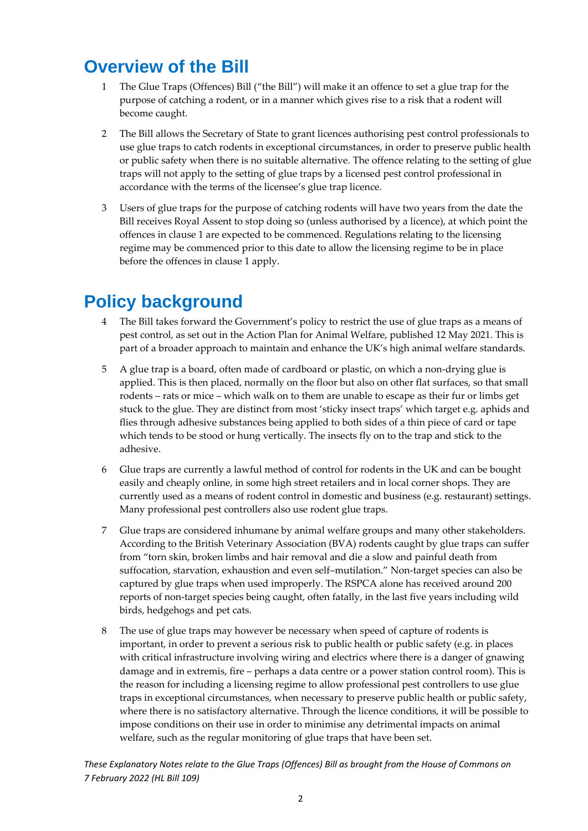### <span id="page-2-0"></span>**Overview of the Bill**

- 1 The Glue Traps (Offences) Bill ("the Bill") will make it an offence to set a glue trap for the purpose of catching a rodent, or in a manner which gives rise to a risk that a rodent will become caught.
- 2 The Bill allows the Secretary of State to grant licences authorising pest control professionals to use glue traps to catch rodents in exceptional circumstances, in order to preserve public health or public safety when there is no suitable alternative. The offence relating to the setting of glue traps will not apply to the setting of glue traps by a licensed pest control professional in accordance with the terms of the licensee's glue trap licence.
- 3 Users of glue traps for the purpose of catching rodents will have two years from the date the Bill receives Royal Assent to stop doing so (unless authorised by a licence), at which point the offences in clause 1 are expected to be commenced. Regulations relating to the licensing regime may be commenced prior to this date to allow the licensing regime to be in place before the offences in clause 1 apply.

# <span id="page-2-1"></span>**Policy background**

- 4 The Bill takes forward the Government's policy to restrict the use of glue traps as a means of pest control, as set out in the Action Plan for Animal Welfare, published 12 May 2021. This is part of a broader approach to maintain and enhance the UK's high animal welfare standards.
- 5 A glue trap is a board, often made of cardboard or plastic, on which a non-drying glue is applied. This is then placed, normally on the floor but also on other flat surfaces, so that small rodents – rats or mice – which walk on to them are unable to escape as their fur or limbs get stuck to the glue. They are distinct from most 'sticky insect traps' which target e.g. aphids and flies through adhesive substances being applied to both sides of a thin piece of card or tape which tends to be stood or hung vertically. The insects fly on to the trap and stick to the adhesive.
- 6 Glue traps are currently a lawful method of control for rodents in the UK and can be bought easily and cheaply online, in some high street retailers and in local corner shops. They are currently used as a means of rodent control in domestic and business (e.g. restaurant) settings. Many professional pest controllers also use rodent glue traps.
- 7 Glue traps are considered inhumane by animal welfare groups and many other stakeholders. According to the British Veterinary Association (BVA) rodents caught by glue traps can suffer from "torn skin, broken limbs and hair removal and die a slow and painful death from suffocation, starvation, exhaustion and even self–mutilation." Non-target species can also be captured by glue traps when used improperly. The RSPCA alone has received around 200 reports of non-target species being caught, often fatally, in the last five years including wild birds, hedgehogs and pet cats.
- 8 The use of glue traps may however be necessary when speed of capture of rodents is important, in order to prevent a serious risk to public health or public safety (e.g. in places with critical infrastructure involving wiring and electrics where there is a danger of gnawing damage and in extremis, fire – perhaps a data centre or a power station control room). This is the reason for including a licensing regime to allow professional pest controllers to use glue traps in exceptional circumstances, when necessary to preserve public health or public safety, where there is no satisfactory alternative. Through the licence conditions, it will be possible to impose conditions on their use in order to minimise any detrimental impacts on animal welfare, such as the regular monitoring of glue traps that have been set.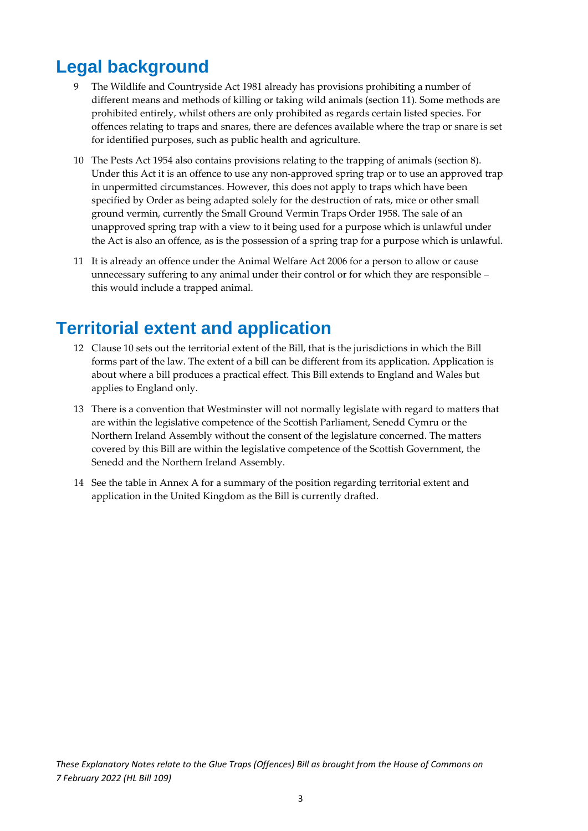# <span id="page-3-0"></span>**Legal background**

- 9 The Wildlife and Countryside Act 1981 already has provisions prohibiting a number of different means and methods of killing or taking wild animals (section 11). Some methods are prohibited entirely, whilst others are only prohibited as regards certain listed species. For offences relating to traps and snares, there are defences available where the trap or snare is set for identified purposes, such as public health and agriculture.
- 10 The Pests Act 1954 also contains provisions relating to the trapping of animals (section 8). Under this Act it is an offence to use any non-approved spring trap or to use an approved trap in unpermitted circumstances. However, this does not apply to traps which have been specified by Order as being adapted solely for the destruction of rats, mice or other small ground vermin, currently the Small Ground Vermin Traps Order 1958. The sale of an unapproved spring trap with a view to it being used for a purpose which is unlawful under the Act is also an offence, as is the possession of a spring trap for a purpose which is unlawful.
- 11 It is already an offence under the Animal Welfare Act 2006 for a person to allow or cause unnecessary suffering to any animal under their control or for which they are responsible – this would include a trapped animal.

### <span id="page-3-1"></span>**Territorial extent and application**

- 12 Clause 10 sets out the territorial extent of the Bill, that is the jurisdictions in which the Bill forms part of the law. The extent of a bill can be different from its application. Application is about where a bill produces a practical effect. This Bill extends to England and Wales but applies to England only.
- 13 There is a convention that Westminster will not normally legislate with regard to matters that are within the legislative competence of the Scottish Parliament, Senedd Cymru or the Northern Ireland Assembly without the consent of the legislature concerned. The matters covered by this Bill are within the legislative competence of the Scottish Government, the Senedd and the Northern Ireland Assembly.
- 14 See the table in Annex A for a summary of the position regarding territorial extent and application in the United Kingdom as the Bill is currently drafted.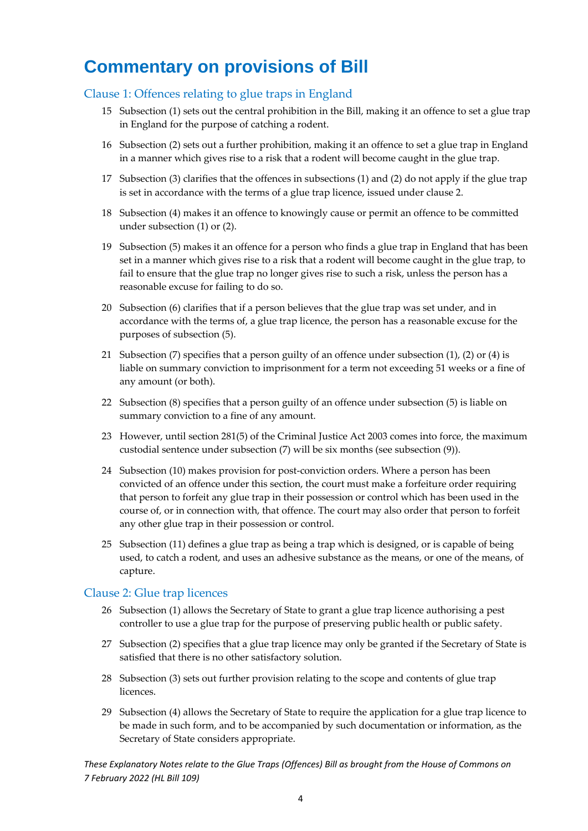# <span id="page-4-0"></span>**Commentary on provisions of Bill**

#### <span id="page-4-1"></span>Clause 1: Offences relating to glue traps in England

- 15 Subsection (1) sets out the central prohibition in the Bill, making it an offence to set a glue trap in England for the purpose of catching a rodent.
- 16 Subsection (2) sets out a further prohibition, making it an offence to set a glue trap in England in a manner which gives rise to a risk that a rodent will become caught in the glue trap.
- 17 Subsection (3) clarifies that the offences in subsections (1) and (2) do not apply if the glue trap is set in accordance with the terms of a glue trap licence, issued under clause 2.
- 18 Subsection (4) makes it an offence to knowingly cause or permit an offence to be committed under subsection (1) or (2).
- 19 Subsection (5) makes it an offence for a person who finds a glue trap in England that has been set in a manner which gives rise to a risk that a rodent will become caught in the glue trap, to fail to ensure that the glue trap no longer gives rise to such a risk, unless the person has a reasonable excuse for failing to do so.
- 20 Subsection (6) clarifies that if a person believes that the glue trap was set under, and in accordance with the terms of, a glue trap licence, the person has a reasonable excuse for the purposes of subsection (5).
- 21 Subsection (7) specifies that a person guilty of an offence under subsection (1), (2) or (4) is liable on summary conviction to imprisonment for a term not exceeding 51 weeks or a fine of any amount (or both).
- 22 Subsection (8) specifies that a person guilty of an offence under subsection (5) is liable on summary conviction to a fine of any amount.
- 23 However, until section 281(5) of the Criminal Justice Act 2003 comes into force, the maximum custodial sentence under subsection (7) will be six months (see subsection (9)).
- 24 Subsection (10) makes provision for post-conviction orders. Where a person has been convicted of an offence under this section, the court must make a forfeiture order requiring that person to forfeit any glue trap in their possession or control which has been used in the course of, or in connection with, that offence. The court may also order that person to forfeit any other glue trap in their possession or control.
- 25 Subsection (11) defines a glue trap as being a trap which is designed, or is capable of being used, to catch a rodent, and uses an adhesive substance as the means, or one of the means, of capture.

#### <span id="page-4-2"></span>Clause 2: Glue trap licences

- 26 Subsection (1) allows the Secretary of State to grant a glue trap licence authorising a pest controller to use a glue trap for the purpose of preserving public health or public safety.
- 27 Subsection (2) specifies that a glue trap licence may only be granted if the Secretary of State is satisfied that there is no other satisfactory solution.
- 28 Subsection (3) sets out further provision relating to the scope and contents of glue trap licences.
- 29 Subsection (4) allows the Secretary of State to require the application for a glue trap licence to be made in such form, and to be accompanied by such documentation or information, as the Secretary of State considers appropriate.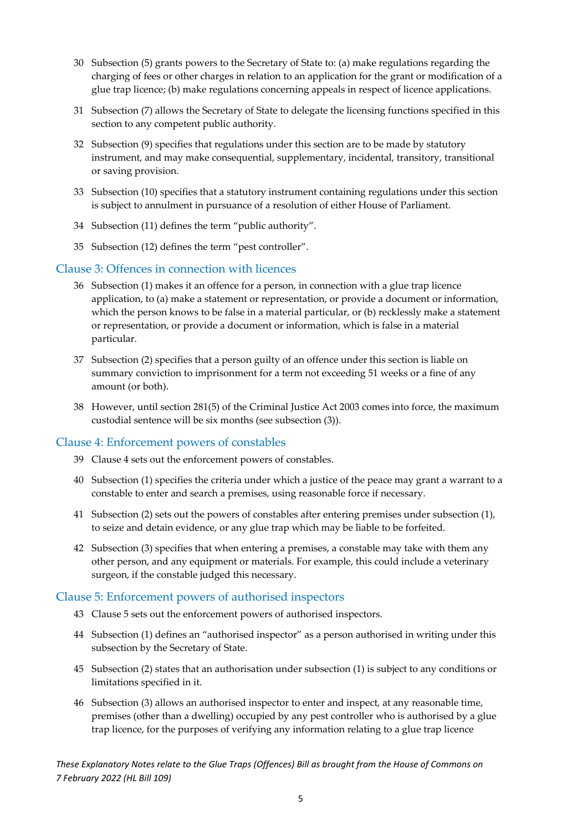- 30 Subsection (5) grants powers to the Secretary of State to: (a) make regulations regarding the charging of fees or other charges in relation to an application for the grant or modification of a glue trap licence; (b) make regulations concerning appeals in respect of licence applications.
- 31 Subsection (7) allows the Secretary of State to delegate the licensing functions specified in this section to any competent public authority.
- 32 Subsection (9) specifies that regulations under this section are to be made by statutory instrument, and may make consequential, supplementary, incidental, transitory, transitional or saving provision.
- 33 Subsection (10) specifies that a statutory instrument containing regulations under this section is subject to annulment in pursuance of a resolution of either House of Parliament.
- 34 Subsection (11) defines the term "public authority".
- 35 Subsection (12) defines the term "pest controller".

#### <span id="page-5-0"></span>Clause 3: Offences in connection with licences

- 36 Subsection (1) makes it an offence for a person, in connection with a glue trap licence application, to (a) make a statement or representation, or provide a document or information, which the person knows to be false in a material particular, or (b) recklessly make a statement or representation, or provide a document or information, which is false in a material particular.
- 37 Subsection (2) specifies that a person guilty of an offence under this section is liable on summary conviction to imprisonment for a term not exceeding 51 weeks or a fine of any amount (or both).
- 38 However, until section 281(5) of the Criminal Justice Act 2003 comes into force, the maximum custodial sentence will be six months (see subsection (3)).

#### <span id="page-5-1"></span>Clause 4: Enforcement powers of constables

- 39 Clause 4 sets out the enforcement powers of constables.
- 40 Subsection (1) specifies the criteria under which a justice of the peace may grant a warrant to a constable to enter and search a premises, using reasonable force if necessary.
- 41 Subsection (2) sets out the powers of constables after entering premises under subsection (1), to seize and detain evidence, or any glue trap which may be liable to be forfeited.
- 42 Subsection (3) specifies that when entering a premises, a constable may take with them any other person, and any equipment or materials. For example, this could include a veterinary surgeon, if the constable judged this necessary.

#### <span id="page-5-2"></span>Clause 5: Enforcement powers of authorised inspectors

- 43 Clause 5 sets out the enforcement powers of authorised inspectors.
- 44 Subsection (1) defines an "authorised inspector" as a person authorised in writing under this subsection by the Secretary of State.
- 45 Subsection (2) states that an authorisation under subsection (1) is subject to any conditions or limitations specified in it.
- 46 Subsection (3) allows an authorised inspector to enter and inspect, at any reasonable time, premises (other than a dwelling) occupied by any pest controller who is authorised by a glue trap licence, for the purposes of verifying any information relating to a glue trap licence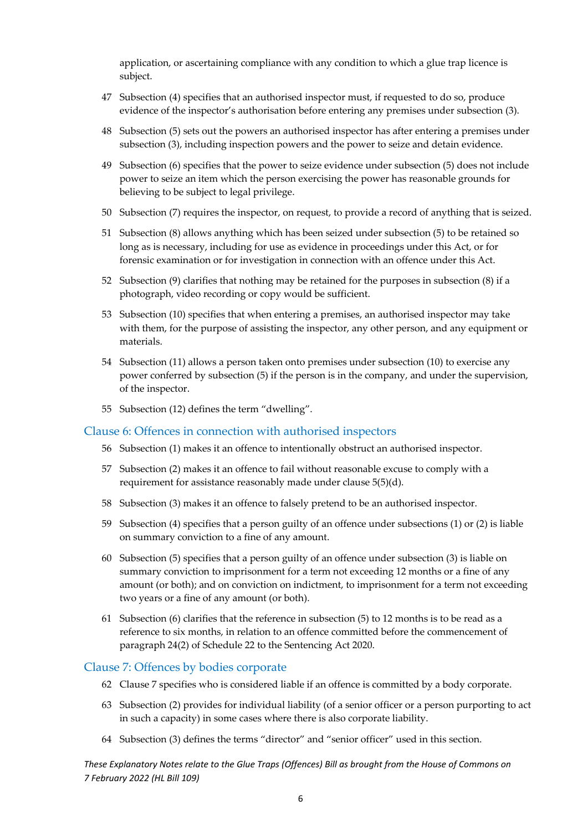application, or ascertaining compliance with any condition to which a glue trap licence is subject.

- 47 Subsection (4) specifies that an authorised inspector must, if requested to do so, produce evidence of the inspector's authorisation before entering any premises under subsection (3).
- 48 Subsection (5) sets out the powers an authorised inspector has after entering a premises under subsection (3), including inspection powers and the power to seize and detain evidence.
- 49 Subsection (6) specifies that the power to seize evidence under subsection (5) does not include power to seize an item which the person exercising the power has reasonable grounds for believing to be subject to legal privilege.
- 50 Subsection (7) requires the inspector, on request, to provide a record of anything that is seized.
- 51 Subsection (8) allows anything which has been seized under subsection (5) to be retained so long as is necessary, including for use as evidence in proceedings under this Act, or for forensic examination or for investigation in connection with an offence under this Act.
- 52 Subsection (9) clarifies that nothing may be retained for the purposes in subsection (8) if a photograph, video recording or copy would be sufficient.
- 53 Subsection (10) specifies that when entering a premises, an authorised inspector may take with them, for the purpose of assisting the inspector, any other person, and any equipment or materials.
- 54 Subsection (11) allows a person taken onto premises under subsection (10) to exercise any power conferred by subsection (5) if the person is in the company, and under the supervision, of the inspector.
- 55 Subsection (12) defines the term "dwelling".

#### <span id="page-6-0"></span>Clause 6: Offences in connection with authorised inspectors

- 56 Subsection (1) makes it an offence to intentionally obstruct an authorised inspector.
- 57 Subsection (2) makes it an offence to fail without reasonable excuse to comply with a requirement for assistance reasonably made under clause 5(5)(d).
- 58 Subsection (3) makes it an offence to falsely pretend to be an authorised inspector.
- 59 Subsection (4) specifies that a person guilty of an offence under subsections (1) or (2) is liable on summary conviction to a fine of any amount.
- 60 Subsection (5) specifies that a person guilty of an offence under subsection (3) is liable on summary conviction to imprisonment for a term not exceeding 12 months or a fine of any amount (or both); and on conviction on indictment, to imprisonment for a term not exceeding two years or a fine of any amount (or both).
- 61 Subsection (6) clarifies that the reference in subsection (5) to 12 months is to be read as a reference to six months, in relation to an offence committed before the commencement of paragraph 24(2) of Schedule 22 to the Sentencing Act 2020.

#### <span id="page-6-1"></span>Clause 7: Offences by bodies corporate

- 62 Clause 7 specifies who is considered liable if an offence is committed by a body corporate.
- 63 Subsection (2) provides for individual liability (of a senior officer or a person purporting to act in such a capacity) in some cases where there is also corporate liability.
- 64 Subsection (3) defines the terms "director" and "senior officer" used in this section.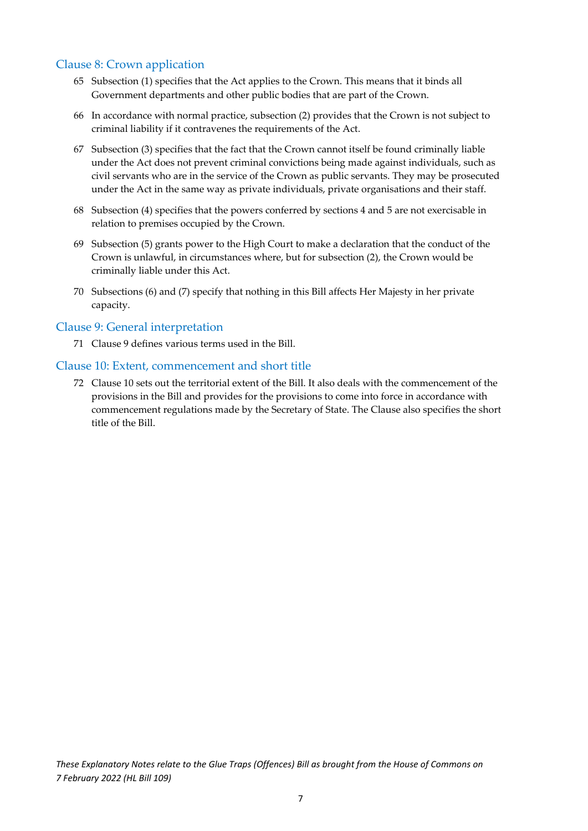#### <span id="page-7-0"></span>Clause 8: Crown application

- 65 Subsection (1) specifies that the Act applies to the Crown. This means that it binds all Government departments and other public bodies that are part of the Crown.
- 66 In accordance with normal practice, subsection (2) provides that the Crown is not subject to criminal liability if it contravenes the requirements of the Act.
- 67 Subsection (3) specifies that the fact that the Crown cannot itself be found criminally liable under the Act does not prevent criminal convictions being made against individuals, such as civil servants who are in the service of the Crown as public servants. They may be prosecuted under the Act in the same way as private individuals, private organisations and their staff.
- 68 Subsection (4) specifies that the powers conferred by sections 4 and 5 are not exercisable in relation to premises occupied by the Crown.
- 69 Subsection (5) grants power to the High Court to make a declaration that the conduct of the Crown is unlawful, in circumstances where, but for subsection (2), the Crown would be criminally liable under this Act.
- 70 Subsections (6) and (7) specify that nothing in this Bill affects Her Majesty in her private capacity.

#### <span id="page-7-1"></span>Clause 9: General interpretation

71 Clause 9 defines various terms used in the Bill.

#### <span id="page-7-2"></span>Clause 10: Extent, commencement and short title

72 Clause 10 sets out the territorial extent of the Bill. It also deals with the commencement of the provisions in the Bill and provides for the provisions to come into force in accordance with commencement regulations made by the Secretary of State. The Clause also specifies the short title of the Bill.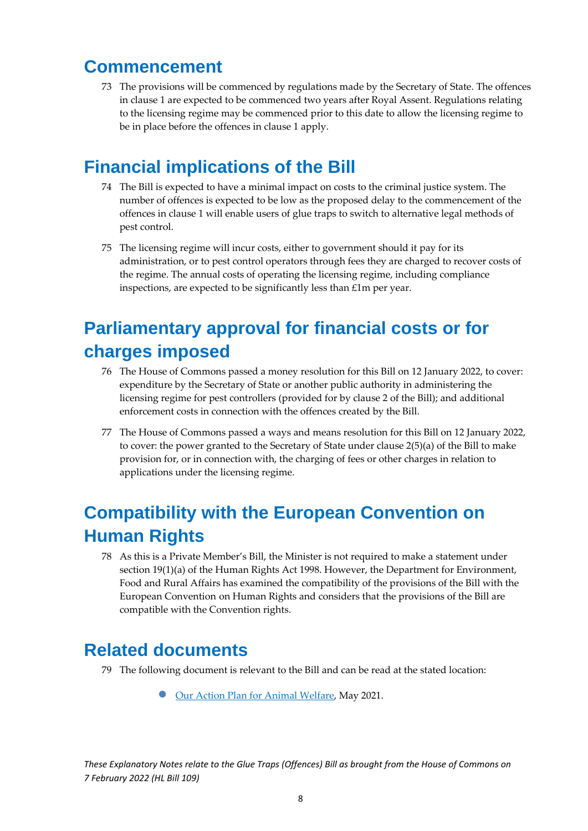### <span id="page-8-0"></span>**Commencement**

73 The provisions will be commenced by regulations made by the Secretary of State. The offences in clause 1 are expected to be commenced two years after Royal Assent. Regulations relating to the licensing regime may be commenced prior to this date to allow the licensing regime to be in place before the offences in clause 1 apply.

# <span id="page-8-1"></span>**Financial implications of the Bill**

- 74 The Bill is expected to have a minimal impact on costs to the criminal justice system. The number of offences is expected to be low as the proposed delay to the commencement of the offences in clause 1 will enable users of glue traps to switch to alternative legal methods of pest control.
- 75 The licensing regime will incur costs, either to government should it pay for its administration, or to pest control operators through fees they are charged to recover costs of the regime. The annual costs of operating the licensing regime, including compliance inspections, are expected to be significantly less than £1m per year.

# <span id="page-8-2"></span>**Parliamentary approval for financial costs or for charges imposed**

- 76 The House of Commons passed a money resolution for this Bill on 12 January 2022, to cover: expenditure by the Secretary of State or another public authority in administering the licensing regime for pest controllers (provided for by clause 2 of the Bill); and additional enforcement costs in connection with the offences created by the Bill.
- 77 The House of Commons passed a ways and means resolution for this Bill on 12 January 2022, to cover: the power granted to the Secretary of State under clause 2(5)(a) of the Bill to make provision for, or in connection with, the charging of fees or other charges in relation to applications under the licensing regime.

# <span id="page-8-3"></span>**Compatibility with the European Convention on Human Rights**

78 As this is a Private Member's Bill, the Minister is not required to make a statement under section 19(1)(a) of the Human Rights Act 1998. However, the Department for Environment, Food and Rural Affairs has examined the compatibility of the provisions of the Bill with the European Convention on Human Rights and considers that the provisions of the Bill are compatible with the Convention rights.

### <span id="page-8-4"></span>**Related documents**

- 79 The following document is relevant to the Bill and can be read at the stated location:
	- [Our Action Plan for Animal Welfare,](https://www.gov.uk/government/publications/action-plan-for-animal-welfare) May 2021.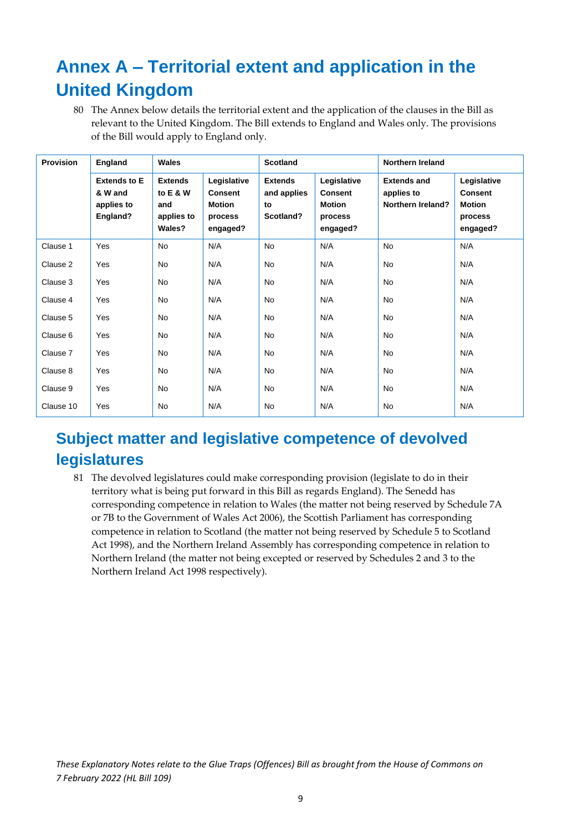# <span id="page-9-0"></span>**Annex A – Territorial extent and application in the United Kingdom**

80 The Annex below details the territorial extent and the application of the clauses in the Bill as relevant to the United Kingdom. The Bill extends to England and Wales only. The provisions of the Bill would apply to England only.

| <b>Provision</b> | England                                                  | Wales                                                     |                                                                       | <b>Scotland</b>                                  |                                                                | <b>Northern Ireland</b>                                      |                                                                       |
|------------------|----------------------------------------------------------|-----------------------------------------------------------|-----------------------------------------------------------------------|--------------------------------------------------|----------------------------------------------------------------|--------------------------------------------------------------|-----------------------------------------------------------------------|
|                  | <b>Extends to E</b><br>& W and<br>applies to<br>England? | <b>Extends</b><br>to E & W<br>and<br>applies to<br>Wales? | Legislative<br><b>Consent</b><br><b>Motion</b><br>process<br>engaged? | <b>Extends</b><br>and applies<br>to<br>Scotland? | Legislative<br><b>Consent</b><br>Motion<br>process<br>engaged? | <b>Extends and</b><br>applies to<br><b>Northern Ireland?</b> | Legislative<br><b>Consent</b><br><b>Motion</b><br>process<br>engaged? |
| Clause 1         | Yes                                                      | <b>No</b>                                                 | N/A                                                                   | <b>No</b>                                        | N/A                                                            | <b>No</b>                                                    | N/A                                                                   |
| Clause 2         | Yes                                                      | <b>No</b>                                                 | N/A                                                                   | <b>No</b>                                        | N/A                                                            | <b>No</b>                                                    | N/A                                                                   |
| Clause 3         | Yes                                                      | No                                                        | N/A                                                                   | No                                               | N/A                                                            | No                                                           | N/A                                                                   |
| Clause 4         | Yes                                                      | <b>No</b>                                                 | N/A                                                                   | No                                               | N/A                                                            | <b>No</b>                                                    | N/A                                                                   |
| Clause 5         | Yes                                                      | No                                                        | N/A                                                                   | No                                               | N/A                                                            | <b>No</b>                                                    | N/A                                                                   |
| Clause 6         | Yes                                                      | <b>No</b>                                                 | N/A                                                                   | No                                               | N/A                                                            | <b>No</b>                                                    | N/A                                                                   |
| Clause 7         | Yes                                                      | <b>No</b>                                                 | N/A                                                                   | <b>No</b>                                        | N/A                                                            | <b>No</b>                                                    | N/A                                                                   |
| Clause 8         | Yes                                                      | No                                                        | N/A                                                                   | No                                               | N/A                                                            | No                                                           | N/A                                                                   |
| Clause 9         | Yes                                                      | <b>No</b>                                                 | N/A                                                                   | No                                               | N/A                                                            | <b>No</b>                                                    | N/A                                                                   |
| Clause 10        | Yes                                                      | No                                                        | N/A                                                                   | No                                               | N/A                                                            | No                                                           | N/A                                                                   |

### <span id="page-9-1"></span>**Subject matter and legislative competence of devolved legislatures**

81 The devolved legislatures could make corresponding provision (legislate to do in their territory what is being put forward in this Bill as regards England). The Senedd has corresponding competence in relation to Wales (the matter not being reserved by Schedule 7A or 7B to the Government of Wales Act 2006), the Scottish Parliament has corresponding competence in relation to Scotland (the matter not being reserved by Schedule 5 to Scotland Act 1998), and the Northern Ireland Assembly has corresponding competence in relation to Northern Ireland (the matter not being excepted or reserved by Schedules 2 and 3 to the Northern Ireland Act 1998 respectively).